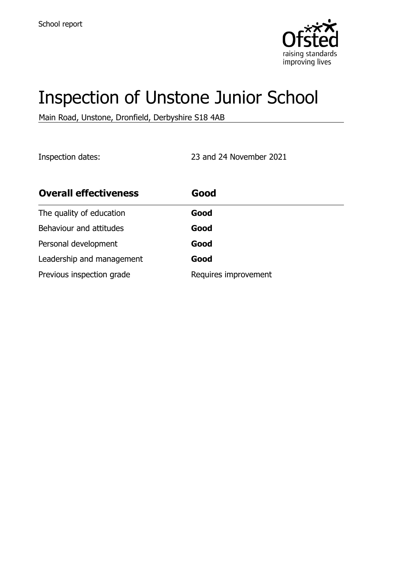

# Inspection of Unstone Junior School

Main Road, Unstone, Dronfield, Derbyshire S18 4AB

Inspection dates: 23 and 24 November 2021

| <b>Overall effectiveness</b> | Good                 |
|------------------------------|----------------------|
| The quality of education     | Good                 |
| Behaviour and attitudes      | Good                 |
| Personal development         | Good                 |
| Leadership and management    | Good                 |
| Previous inspection grade    | Requires improvement |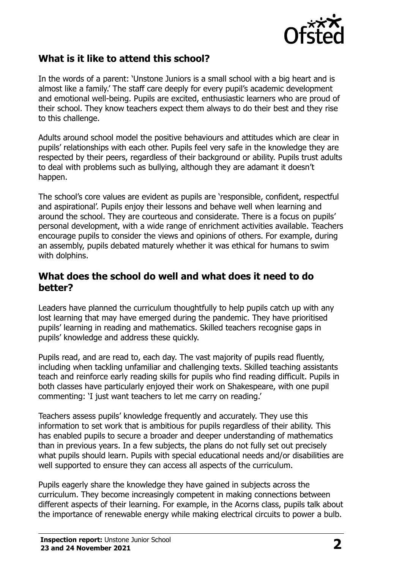

## **What is it like to attend this school?**

In the words of a parent: 'Unstone Juniors is a small school with a big heart and is almost like a family.' The staff care deeply for every pupil's academic development and emotional well-being. Pupils are excited, enthusiastic learners who are proud of their school. They know teachers expect them always to do their best and they rise to this challenge.

Adults around school model the positive behaviours and attitudes which are clear in pupils' relationships with each other. Pupils feel very safe in the knowledge they are respected by their peers, regardless of their background or ability. Pupils trust adults to deal with problems such as bullying, although they are adamant it doesn't happen.

The school's core values are evident as pupils are 'responsible, confident, respectful and aspirational'. Pupils enjoy their lessons and behave well when learning and around the school. They are courteous and considerate. There is a focus on pupils' personal development, with a wide range of enrichment activities available. Teachers encourage pupils to consider the views and opinions of others. For example, during an assembly, pupils debated maturely whether it was ethical for humans to swim with dolphins.

#### **What does the school do well and what does it need to do better?**

Leaders have planned the curriculum thoughtfully to help pupils catch up with any lost learning that may have emerged during the pandemic. They have prioritised pupils' learning in reading and mathematics. Skilled teachers recognise gaps in pupils' knowledge and address these quickly.

Pupils read, and are read to, each day. The vast majority of pupils read fluently, including when tackling unfamiliar and challenging texts. Skilled teaching assistants teach and reinforce early reading skills for pupils who find reading difficult. Pupils in both classes have particularly enjoyed their work on Shakespeare, with one pupil commenting: 'I just want teachers to let me carry on reading.'

Teachers assess pupils' knowledge frequently and accurately. They use this information to set work that is ambitious for pupils regardless of their ability. This has enabled pupils to secure a broader and deeper understanding of mathematics than in previous years. In a few subjects, the plans do not fully set out precisely what pupils should learn. Pupils with special educational needs and/or disabilities are well supported to ensure they can access all aspects of the curriculum.

Pupils eagerly share the knowledge they have gained in subjects across the curriculum. They become increasingly competent in making connections between different aspects of their learning. For example, in the Acorns class, pupils talk about the importance of renewable energy while making electrical circuits to power a bulb.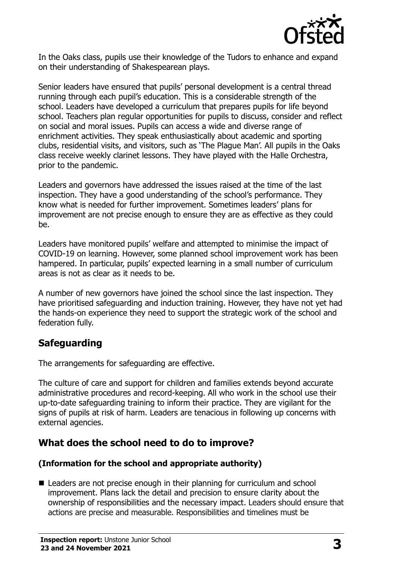

In the Oaks class, pupils use their knowledge of the Tudors to enhance and expand on their understanding of Shakespearean plays.

Senior leaders have ensured that pupils' personal development is a central thread running through each pupil's education. This is a considerable strength of the school. Leaders have developed a curriculum that prepares pupils for life beyond school. Teachers plan regular opportunities for pupils to discuss, consider and reflect on social and moral issues. Pupils can access a wide and diverse range of enrichment activities. They speak enthusiastically about academic and sporting clubs, residential visits, and visitors, such as 'The Plague Man'. All pupils in the Oaks class receive weekly clarinet lessons. They have played with the Halle Orchestra, prior to the pandemic.

Leaders and governors have addressed the issues raised at the time of the last inspection. They have a good understanding of the school's performance. They know what is needed for further improvement. Sometimes leaders' plans for improvement are not precise enough to ensure they are as effective as they could be.

Leaders have monitored pupils' welfare and attempted to minimise the impact of COVID-19 on learning. However, some planned school improvement work has been hampered. In particular, pupils' expected learning in a small number of curriculum areas is not as clear as it needs to be.

A number of new governors have joined the school since the last inspection. They have prioritised safeguarding and induction training. However, they have not yet had the hands-on experience they need to support the strategic work of the school and federation fully.

## **Safeguarding**

The arrangements for safeguarding are effective.

The culture of care and support for children and families extends beyond accurate administrative procedures and record-keeping. All who work in the school use their up-to-date safeguarding training to inform their practice. They are vigilant for the signs of pupils at risk of harm. Leaders are tenacious in following up concerns with external agencies.

## **What does the school need to do to improve?**

#### **(Information for the school and appropriate authority)**

■ Leaders are not precise enough in their planning for curriculum and school improvement. Plans lack the detail and precision to ensure clarity about the ownership of responsibilities and the necessary impact. Leaders should ensure that actions are precise and measurable. Responsibilities and timelines must be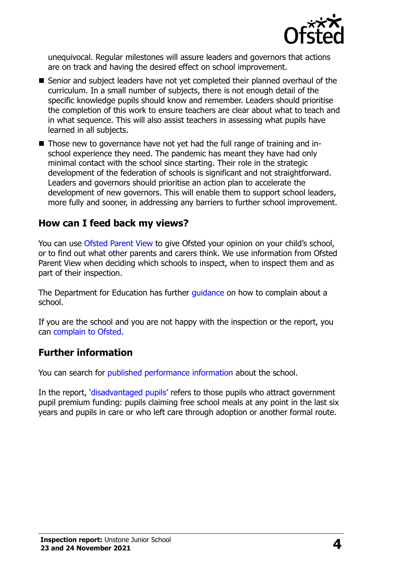

unequivocal. Regular milestones will assure leaders and governors that actions are on track and having the desired effect on school improvement.

- Senior and subject leaders have not yet completed their planned overhaul of the curriculum. In a small number of subjects, there is not enough detail of the specific knowledge pupils should know and remember. Leaders should prioritise the completion of this work to ensure teachers are clear about what to teach and in what sequence. This will also assist teachers in assessing what pupils have learned in all subjects.
- Those new to governance have not yet had the full range of training and inschool experience they need. The pandemic has meant they have had only minimal contact with the school since starting. Their role in the strategic development of the federation of schools is significant and not straightforward. Leaders and governors should prioritise an action plan to accelerate the development of new governors. This will enable them to support school leaders, more fully and sooner, in addressing any barriers to further school improvement.

#### **How can I feed back my views?**

You can use [Ofsted Parent View](http://parentview.ofsted.gov.uk/) to give Ofsted your opinion on your child's school, or to find out what other parents and carers think. We use information from Ofsted Parent View when deciding which schools to inspect, when to inspect them and as part of their inspection.

The Department for Education has further quidance on how to complain about a school.

If you are the school and you are not happy with the inspection or the report, you can [complain to Ofsted.](http://www.gov.uk/complain-ofsted-report)

### **Further information**

You can search for [published performance information](http://www.compare-school-performance.service.gov.uk/) about the school.

In the report, '[disadvantaged pupils](http://www.gov.uk/guidance/pupil-premium-information-for-schools-and-alternative-provision-settings)' refers to those pupils who attract government pupil premium funding: pupils claiming free school meals at any point in the last six years and pupils in care or who left care through adoption or another formal route.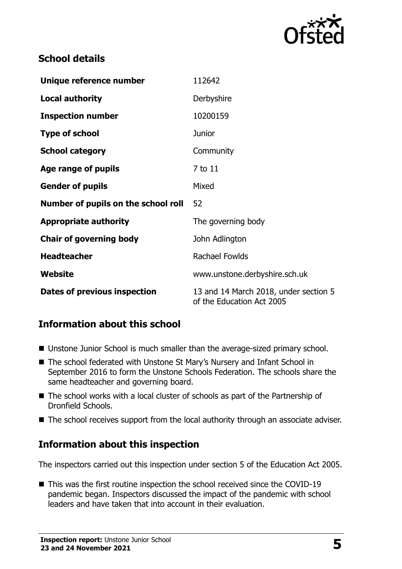

## **School details**

| Unique reference number             | 112642                                                             |
|-------------------------------------|--------------------------------------------------------------------|
| <b>Local authority</b>              | Derbyshire                                                         |
| <b>Inspection number</b>            | 10200159                                                           |
| <b>Type of school</b>               | <b>Junior</b>                                                      |
| <b>School category</b>              | Community                                                          |
| Age range of pupils                 | 7 to 11                                                            |
| <b>Gender of pupils</b>             | Mixed                                                              |
| Number of pupils on the school roll | 52                                                                 |
| <b>Appropriate authority</b>        | The governing body                                                 |
| <b>Chair of governing body</b>      | John Adlington                                                     |
| <b>Headteacher</b>                  | Rachael Fowlds                                                     |
| Website                             | www.unstone.derbyshire.sch.uk                                      |
| Dates of previous inspection        | 13 and 14 March 2018, under section 5<br>of the Education Act 2005 |

## **Information about this school**

- Unstone Junior School is much smaller than the average-sized primary school.
- The school federated with Unstone St Mary's Nursery and Infant School in September 2016 to form the Unstone Schools Federation. The schools share the same headteacher and governing board.
- The school works with a local cluster of schools as part of the Partnership of Dronfield Schools.
- The school receives support from the local authority through an associate adviser.

## **Information about this inspection**

The inspectors carried out this inspection under section 5 of the Education Act 2005.

■ This was the first routine inspection the school received since the COVID-19 pandemic began. Inspectors discussed the impact of the pandemic with school leaders and have taken that into account in their evaluation.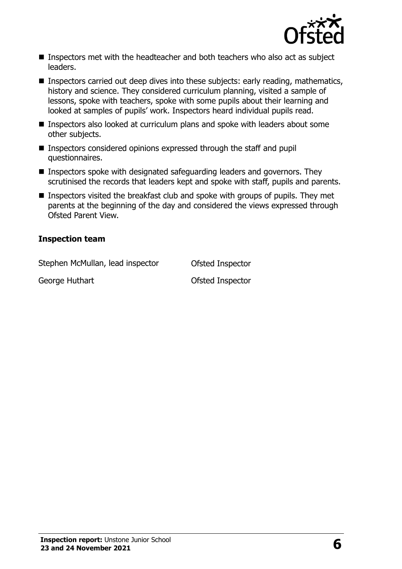

- Inspectors met with the headteacher and both teachers who also act as subject leaders.
- Inspectors carried out deep dives into these subjects: early reading, mathematics, history and science. They considered curriculum planning, visited a sample of lessons, spoke with teachers, spoke with some pupils about their learning and looked at samples of pupils' work. Inspectors heard individual pupils read.
- **Inspectors also looked at curriculum plans and spoke with leaders about some** other subjects.
- **Inspectors considered opinions expressed through the staff and pupil** questionnaires.
- $\blacksquare$  Inspectors spoke with designated safeguarding leaders and governors. They scrutinised the records that leaders kept and spoke with staff, pupils and parents.
- **Inspectors visited the breakfast club and spoke with groups of pupils. They met** parents at the beginning of the day and considered the views expressed through Ofsted Parent View.

#### **Inspection team**

Stephen McMullan, lead inspector **Ofsted Inspector** George Huthart **Construction Construction** Ofsted Inspector